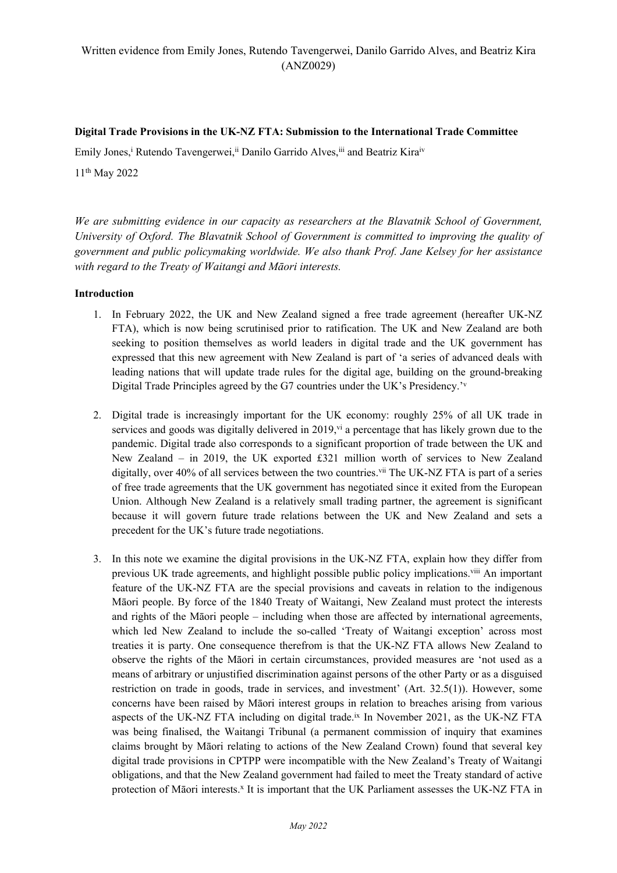#### **Digital Trade Provisions in the UK-NZ FTA: Submission to the International Trade Committee**

Emily Jones,<sup>i</sup> Rutendo Tavengerwei,<sup>ii</sup> Danilo Garrido Alves,<sup>iii</sup> and Beatriz Kira<sup>iv</sup>

11th May 2022

*We are submitting evidence in our capacity as researchers at the Blavatnik School of Government, University of Oxford. The Blavatnik School of Government is committed to improving the quality of government and public policymaking worldwide. We also thank Prof. Jane Kelsey for her assistance with regard to the Treaty of Waitangi and Māori interests.*

#### **Introduction**

- 1. In February 2022, the UK and New Zealand signed a free trade agreement (hereafter UK-NZ FTA), which is now being scrutinised prior to ratification. The UK and New Zealand are both seeking to position themselves as world leaders in digital trade and the UK government has expressed that this new agreement with New Zealand is part of 'a series of advanced deals with leading nations that will update trade rules for the digital age, building on the ground-breaking Digital Trade Principles agreed by the G7 countries under the UK's Presidency.<sup>'v</sup>
- 2. Digital trade is increasingly important for the UK economy: roughly 25% of all UK trade in services and goods was digitally delivered in 2019,  $\dot{v}$  a percentage that has likely grown due to the pandemic. Digital trade also corresponds to a significant proportion of trade between the UK and New Zealand – in 2019, the UK exported £321 million worth of services to New Zealand digitally, over 40% of all services between the two countries.<sup>vii</sup> The UK-NZ FTA is part of a series of free trade agreements that the UK government has negotiated since it exited from the European Union. Although New Zealand is a relatively small trading partner, the agreement is significant because it will govern future trade relations between the UK and New Zealand and sets a precedent for the UK's future trade negotiations.
- 3. In this note we examine the digital provisions in the UK-NZ FTA, explain how they differ from previous UK trade agreements, and highlight possible public policy implications.<sup>viii</sup> An important feature of the UK-NZ FTA are the special provisions and caveats in relation to the indigenous Māori people. By force of the 1840 Treaty of Waitangi, New Zealand must protect the interests and rights of the Māori people – including when those are affected by international agreements, which led New Zealand to include the so-called 'Treaty of Waitangi exception' across most treaties it is party. One consequence therefrom is that the UK-NZ FTA allows New Zealand to observe the rights of the Māori in certain circumstances, provided measures are 'not used as a means of arbitrary or unjustified discrimination against persons of the other Party or as a disguised restriction on trade in goods, trade in services, and investment' (Art. 32.5(1)). However, some concerns have been raised by Māori interest groups in relation to breaches arising from various aspects of the UK-NZ FTA including on digital trade.<sup>ix</sup> In November 2021, as the UK-NZ FTA was being finalised, the Waitangi Tribunal (a permanent commission of inquiry that examines claims brought by Māori relating to actions of the New Zealand Crown) found that several key digital trade provisions in CPTPP were incompatible with the New Zealand's Treaty of Waitangi obligations, and that the New Zealand government had failed to meet the Treaty standard of active protection of Māori interests.<sup>x</sup> It is important that the UK Parliament assesses the UK-NZ FTA in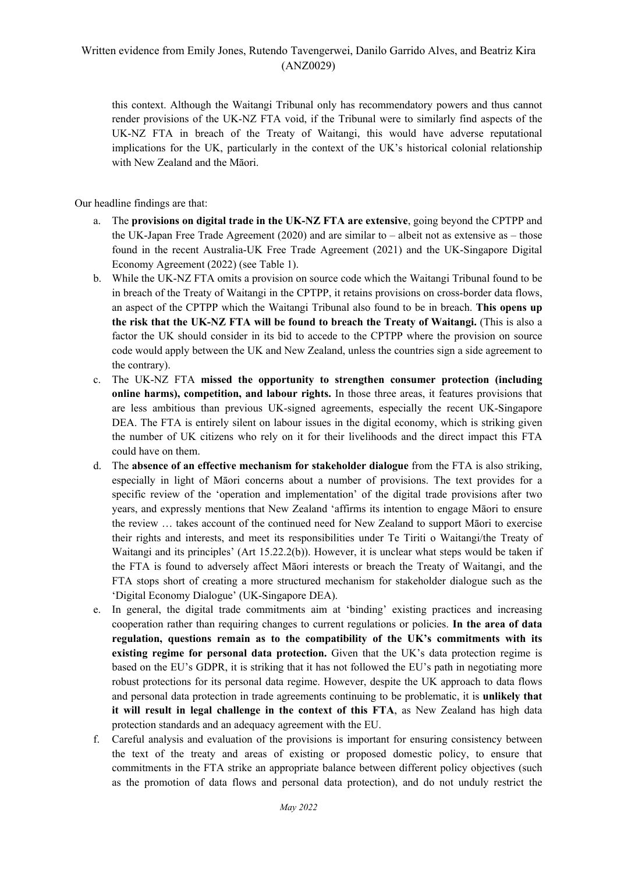this context. Although the Waitangi Tribunal only has recommendatory powers and thus cannot render provisions of the UK-NZ FTA void, if the Tribunal were to similarly find aspects of the UK-NZ FTA in breach of the Treaty of Waitangi, this would have adverse reputational implications for the UK, particularly in the context of the UK's historical colonial relationship with New Zealand and the Māori.

Our headline findings are that:

- a. The **provisions on digital trade in the UK-NZ FTA are extensive**, going beyond the CPTPP and the UK-Japan Free Trade Agreement (2020) and are similar to – albeit not as extensive as – those found in the recent Australia-UK Free Trade Agreement (2021) and the UK-Singapore Digital Economy Agreement (2022) (see Table 1).
- b. While the UK-NZ FTA omits a provision on source code which the Waitangi Tribunal found to be in breach of the Treaty of Waitangi in the CPTPP, it retains provisions on cross-border data flows, an aspect of the CPTPP which the Waitangi Tribunal also found to be in breach. **This opens up the risk that the UK-NZ FTA will be found to breach the Treaty of Waitangi.** (This is also a factor the UK should consider in its bid to accede to the CPTPP where the provision on source code would apply between the UK and New Zealand, unless the countries sign a side agreement to the contrary).
- c. The UK-NZ FTA **missed the opportunity to strengthen consumer protection (including online harms), competition, and labour rights.** In those three areas, it features provisions that are less ambitious than previous UK-signed agreements, especially the recent UK-Singapore DEA. The FTA is entirely silent on labour issues in the digital economy, which is striking given the number of UK citizens who rely on it for their livelihoods and the direct impact this FTA could have on them.
- d. The **absence of an effective mechanism for stakeholder dialogue** from the FTA is also striking, especially in light of Māori concerns about a number of provisions. The text provides for a specific review of the 'operation and implementation' of the digital trade provisions after two years, and expressly mentions that New Zealand 'affirms its intention to engage Māori to ensure the review … takes account of the continued need for New Zealand to support Māori to exercise their rights and interests, and meet its responsibilities under Te Tiriti o Waitangi/the Treaty of Waitangi and its principles' (Art 15.22.2(b)). However, it is unclear what steps would be taken if the FTA is found to adversely affect Māori interests or breach the Treaty of Waitangi, and the FTA stops short of creating a more structured mechanism for stakeholder dialogue such as the 'Digital Economy Dialogue' (UK-Singapore DEA).
- e. In general, the digital trade commitments aim at 'binding' existing practices and increasing cooperation rather than requiring changes to current regulations or policies. **In the area of data regulation, questions remain as to the compatibility of the UK's commitments with its existing regime for personal data protection.** Given that the UK's data protection regime is based on the EU's GDPR, it is striking that it has not followed the EU's path in negotiating more robust protections for its personal data regime. However, despite the UK approach to data flows and personal data protection in trade agreements continuing to be problematic, it is **unlikely that it will result in legal challenge in the context of this FTA**, as New Zealand has high data protection standards and an adequacy agreement with the EU.
- f. Careful analysis and evaluation of the provisions is important for ensuring consistency between the text of the treaty and areas of existing or proposed domestic policy, to ensure that commitments in the FTA strike an appropriate balance between different policy objectives (such as the promotion of data flows and personal data protection), and do not unduly restrict the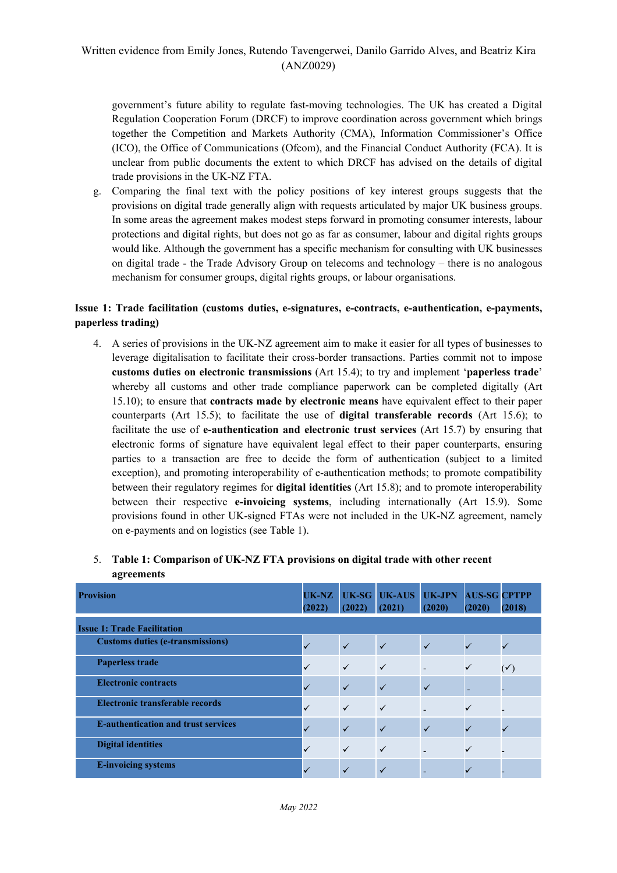government's future ability to regulate fast-moving technologies. The UK has created a Digital Regulation Cooperation Forum (DRCF) to improve coordination across government which brings together the Competition and Markets Authority (CMA), Information Commissioner's Office (ICO), the Office of Communications (Ofcom), and the Financial Conduct Authority (FCA). It is unclear from public documents the extent to which DRCF has advised on the details of digital trade provisions in the UK-NZ FTA.

g. Comparing the final text with the policy positions of key interest groups suggests that the provisions on digital trade generally align with requests articulated by major UK business groups. In some areas the agreement makes modest steps forward in promoting consumer interests, labour protections and digital rights, but does not go as far as consumer, labour and digital rights groups would like. Although the government has a specific mechanism for consulting with UK businesses on digital trade - the Trade Advisory Group on telecoms and technology – there is no analogous mechanism for consumer groups, digital rights groups, or labour organisations.

## **Issue 1: Trade facilitation (customs duties, e-signatures, e-contracts, e-authentication, e-payments, paperless trading)**

4. A series of provisions in the UK-NZ agreement aim to make it easier for all types of businesses to leverage digitalisation to facilitate their cross-border transactions. Parties commit not to impose **customs duties on electronic transmissions** (Art 15.4); to try and implement '**paperless trade**' whereby all customs and other trade compliance paperwork can be completed digitally (Art 15.10); to ensure that **contracts made by electronic means** have equivalent effect to their paper counterparts (Art 15.5); to facilitate the use of **digital transferable records** (Art 15.6); to facilitate the use of **e-authentication and electronic trust services** (Art 15.7) by ensuring that electronic forms of signature have equivalent legal effect to their paper counterparts, ensuring parties to a transaction are free to decide the form of authentication (subject to a limited exception), and promoting interoperability of e-authentication methods; to promote compatibility between their regulatory regimes for **digital identities** (Art 15.8); and to promote interoperability between their respective **e-invoicing systems**, including internationally (Art 15.9). Some provisions found in other UK-signed FTAs were not included in the UK-NZ agreement, namely on e-payments and on logistics (see Table 1).

| <b>Provision</b>                           | UK-NZ<br>(2022) | UK-SG<br>(2022) | UK-AUS<br>(2021) | UK-JPN<br>(2020) | <b>AUS-SG CPTPP</b><br>(2020) | (2018)         |  |  |  |  |
|--------------------------------------------|-----------------|-----------------|------------------|------------------|-------------------------------|----------------|--|--|--|--|
| <b>Issue 1: Trade Facilitation</b>         |                 |                 |                  |                  |                               |                |  |  |  |  |
| <b>Customs duties (e-transmissions)</b>    |                 | $\checkmark$    | $\checkmark$     | $\checkmark$     | ✓                             |                |  |  |  |  |
| <b>Paperless trade</b>                     | $\checkmark$    | $\checkmark$    | $\checkmark$     |                  | $\checkmark$                  | $(\checkmark)$ |  |  |  |  |
| <b>Electronic contracts</b>                | ✓               | $\checkmark$    | $\checkmark$     | $\checkmark$     |                               |                |  |  |  |  |
| Electronic transferable records            | $\checkmark$    | $\checkmark$    | $\checkmark$     |                  |                               |                |  |  |  |  |
| <b>E-authentication and trust services</b> |                 | $\checkmark$    | $\checkmark$     | $\checkmark$     | ✓                             |                |  |  |  |  |
| <b>Digital identities</b>                  | $\checkmark$    | $\checkmark$    | $\checkmark$     |                  |                               |                |  |  |  |  |
| <b>E-invoicing systems</b>                 |                 | ✓               | $\checkmark$     |                  |                               |                |  |  |  |  |

## 5. **Table 1: Comparison of UK-NZ FTA provisions on digital trade with other recent agreements**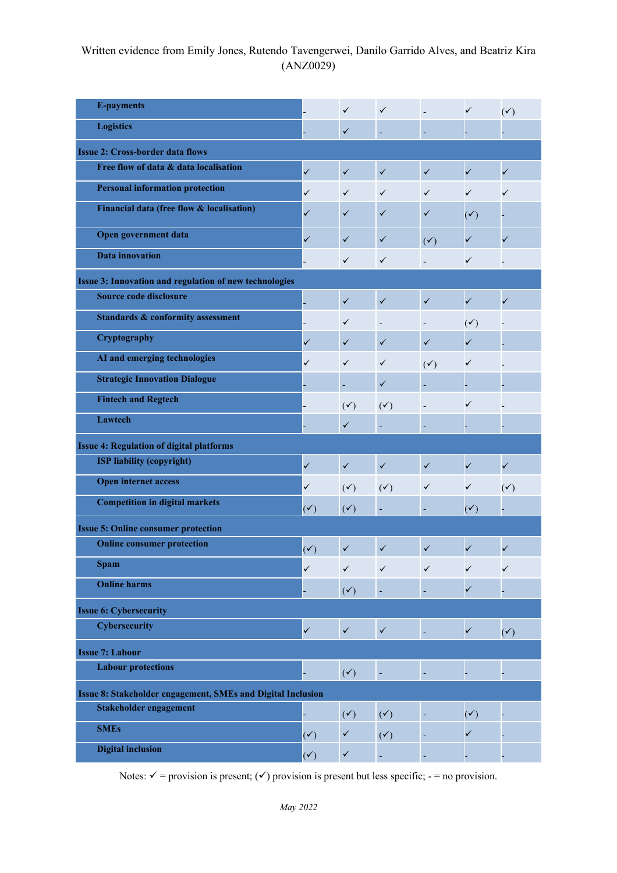| <b>E-payments</b>                                           |                | $\checkmark$   | $\checkmark$   |                          | $\checkmark$   | $(\checkmark)$ |  |  |  |  |
|-------------------------------------------------------------|----------------|----------------|----------------|--------------------------|----------------|----------------|--|--|--|--|
| <b>Logistics</b>                                            |                | $\checkmark$   | ÷              | $\overline{\phantom{a}}$ |                |                |  |  |  |  |
| <b>Issue 2: Cross-border data flows</b>                     |                |                |                |                          |                |                |  |  |  |  |
| Free flow of data & data localisation                       | $\checkmark$   | $\checkmark$   | $\checkmark$   | $\checkmark$             | $\checkmark$   | $\checkmark$   |  |  |  |  |
| <b>Personal information protection</b>                      | ✓              | ✓              | $\checkmark$   | ✓                        | $\checkmark$   | ✓              |  |  |  |  |
| Financial data (free flow & localisation)                   | $\checkmark$   | $\checkmark$   | $\checkmark$   | $\checkmark$             | $(\checkmark)$ |                |  |  |  |  |
| Open government data                                        | $\checkmark$   | $\checkmark$   | $\checkmark$   | $(\checkmark)$           |                | $\checkmark$   |  |  |  |  |
| <b>Data</b> innovation                                      |                | ✓              | $\checkmark$   |                          | $\checkmark$   |                |  |  |  |  |
| Issue 3: Innovation and regulation of new technologies      |                |                |                |                          |                |                |  |  |  |  |
| Source code disclosure                                      |                | $\checkmark$   | $\checkmark$   | $\checkmark$             | $\checkmark$   | $\checkmark$   |  |  |  |  |
| <b>Standards &amp; conformity assessment</b>                |                | ✓              |                |                          | $(\checkmark)$ |                |  |  |  |  |
| Cryptography                                                | ✓              | ✓              | $\checkmark$   | ✓                        | ✓              |                |  |  |  |  |
| AI and emerging technologies                                | ✓              | $\checkmark$   | $\checkmark$   | $(\checkmark)$           | $\checkmark$   |                |  |  |  |  |
| <b>Strategic Innovation Dialogue</b>                        |                |                | $\checkmark$   |                          |                |                |  |  |  |  |
| <b>Fintech and Regtech</b>                                  |                | $(\checkmark)$ | $(\checkmark)$ | $\overline{a}$           | ✓              |                |  |  |  |  |
| Lawtech                                                     |                | $\checkmark$   |                | $\overline{\phantom{a}}$ |                |                |  |  |  |  |
| <b>Issue 4: Regulation of digital platforms</b>             |                |                |                |                          |                |                |  |  |  |  |
| <b>ISP liability (copyright)</b>                            | $\checkmark$   | $\checkmark$   | $\checkmark$   | ✓                        | $\checkmark$   | $\checkmark$   |  |  |  |  |
| <b>Open internet access</b>                                 | ✓              | $(\checkmark)$ | $(\checkmark)$ | $\checkmark$             | $\checkmark$   | $(\checkmark)$ |  |  |  |  |
| <b>Competition in digital markets</b>                       | $(\checkmark)$ | $(\checkmark)$ |                |                          | $(\checkmark)$ |                |  |  |  |  |
| <b>Issue 5: Online consumer protection</b>                  |                |                |                |                          |                |                |  |  |  |  |
| <b>Online consumer protection</b>                           | $(\checkmark)$ | $\checkmark$   | $\checkmark$   | $\checkmark$             | $\checkmark$   | ✓              |  |  |  |  |
| <b>Spam</b>                                                 | $\checkmark$   | $\checkmark$   | $\checkmark$   | $\checkmark$             | $\checkmark$   | ✓              |  |  |  |  |
| <b>Online harms</b>                                         |                | $(\checkmark)$ | ÷              | ٠                        | $\checkmark$   |                |  |  |  |  |
| <b>Issue 6: Cybersecurity</b>                               |                |                |                |                          |                |                |  |  |  |  |
| <b>Cybersecurity</b>                                        | $\checkmark$   | $\checkmark$   | $\checkmark$   | $\overline{\phantom{a}}$ | $\checkmark$   | $(\checkmark)$ |  |  |  |  |
| <b>Issue 7: Labour</b>                                      |                |                |                |                          |                |                |  |  |  |  |
| <b>Labour protections</b>                                   |                | $(\checkmark)$ |                | $\overline{\phantom{a}}$ |                |                |  |  |  |  |
| Issue 8: Stakeholder engagement, SMEs and Digital Inclusion |                |                |                |                          |                |                |  |  |  |  |
| Stakeholder engagement                                      |                | $(\checkmark)$ | $(\checkmark)$ |                          | $(\checkmark)$ |                |  |  |  |  |
| <b>SMEs</b>                                                 | $(\checkmark)$ | $\checkmark$   | $(\checkmark)$ |                          |                |                |  |  |  |  |
| <b>Digital inclusion</b>                                    | $(\checkmark)$ | $\checkmark$   |                |                          |                |                |  |  |  |  |

Notes:  $\checkmark$  = provision is present; ( $\checkmark$ ) provision is present but less specific; - = no provision.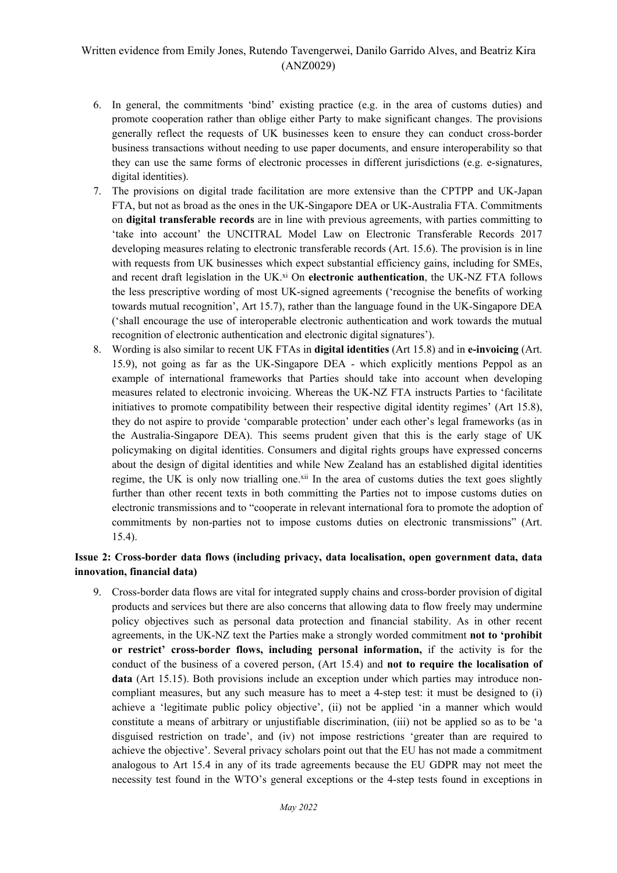- 6. In general, the commitments 'bind' existing practice (e.g. in the area of customs duties) and promote cooperation rather than oblige either Party to make significant changes. The provisions generally reflect the requests of UK businesses keen to ensure they can conduct cross-border business transactions without needing to use paper documents, and ensure interoperability so that they can use the same forms of electronic processes in different jurisdictions (e.g. e-signatures, digital identities).
- 7. The provisions on digital trade facilitation are more extensive than the CPTPP and UK-Japan FTA, but not as broad as the ones in the UK-Singapore DEA or UK-Australia FTA. Commitments on **digital transferable records** are in line with previous agreements, with parties committing to 'take into account' the UNCITRAL Model Law on Electronic Transferable Records 2017 developing measures relating to electronic transferable records (Art. 15.6). The provision is in line with requests from UK businesses which expect substantial efficiency gains, including for SMEs, and recent draft legislation in the UK.<sup>xi</sup> On **electronic authentication**, the UK-NZ FTA follows the less prescriptive wording of most UK-signed agreements ('recognise the benefits of working towards mutual recognition', Art 15.7), rather than the language found in the UK-Singapore DEA ('shall encourage the use of interoperable electronic authentication and work towards the mutual recognition of electronic authentication and electronic digital signatures').
- 8. Wording is also similar to recent UK FTAs in **digital identities** (Art 15.8) and in **e-invoicing** (Art. 15.9), not going as far as the UK-Singapore DEA - which explicitly mentions Peppol as an example of international frameworks that Parties should take into account when developing measures related to electronic invoicing. Whereas the UK-NZ FTA instructs Parties to 'facilitate initiatives to promote compatibility between their respective digital identity regimes' (Art 15.8), they do not aspire to provide 'comparable protection' under each other's legal frameworks (as in the Australia-Singapore DEA). This seems prudent given that this is the early stage of UK policymaking on digital identities. Consumers and digital rights groups have expressed concerns about the design of digital identities and while New Zealand has an established digital identities regime, the UK is only now trialling one.<sup>xii</sup> In the area of customs duties the text goes slightly further than other recent texts in both committing the Parties not to impose customs duties on electronic transmissions and to "cooperate in relevant international fora to promote the adoption of commitments by non-parties not to impose customs duties on electronic transmissions" (Art. 15.4).

### **Issue 2: Cross-border data flows (including privacy, data localisation, open government data, data innovation, financial data)**

9. Cross-border data flows are vital for integrated supply chains and cross-border provision of digital products and services but there are also concerns that allowing data to flow freely may undermine policy objectives such as personal data protection and financial stability. As in other recent agreements, in the UK-NZ text the Parties make a strongly worded commitment **not to 'prohibit or restrict' cross-border flows, including personal information,** if the activity is for the conduct of the business of a covered person, (Art 15.4) and **not to require the localisation of data** (Art 15.15). Both provisions include an exception under which parties may introduce noncompliant measures, but any such measure has to meet a 4-step test: it must be designed to (i) achieve a 'legitimate public policy objective', (ii) not be applied 'in a manner which would constitute a means of arbitrary or unjustifiable discrimination, (iii) not be applied so as to be 'a disguised restriction on trade', and (iv) not impose restrictions 'greater than are required to achieve the objective'. Several privacy scholars point out that the EU has not made a commitment analogous to Art 15.4 in any of its trade agreements because the EU GDPR may not meet the necessity test found in the WTO's general exceptions or the 4-step tests found in exceptions in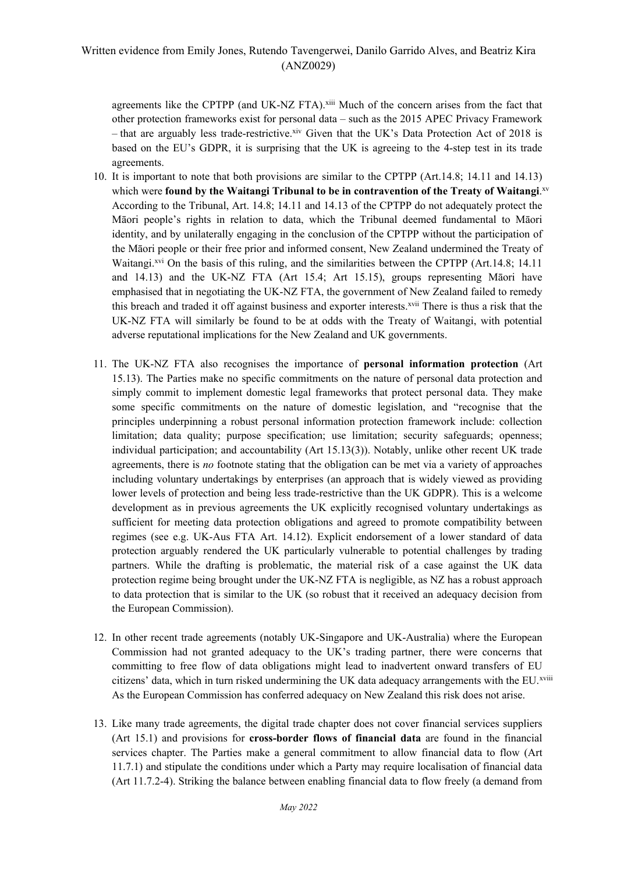agreements like the CPTPP (and UK-NZ FTA).<sup>xiii</sup> Much of the concern arises from the fact that other protection frameworks exist for personal data – such as the 2015 APEC Privacy Framework  $-$  that are arguably less trade-restrictive.<sup>xiv</sup> Given that the UK's Data Protection Act of 2018 is based on the EU's GDPR, it is surprising that the UK is agreeing to the 4-step test in its trade agreements.

- 10. It is important to note that both provisions are similar to the CPTPP (Art.14.8; 14.11 and 14.13) which were **found by the Waitangi Tribunal to be in contravention of the Treaty of Waitangi**. xv According to the Tribunal, Art. 14.8; 14.11 and 14.13 of the CPTPP do not adequately protect the Māori people's rights in relation to data, which the Tribunal deemed fundamental to Māori identity, and by unilaterally engaging in the conclusion of the CPTPP without the participation of the Māori people or their free prior and informed consent, New Zealand undermined the Treaty of Waitangi.<sup>xvi</sup> On the basis of this ruling, and the similarities between the CPTPP (Art.14.8; 14.11) and 14.13) and the UK-NZ FTA (Art 15.4; Art 15.15), groups representing Māori have emphasised that in negotiating the UK-NZ FTA, the government of New Zealand failed to remedy this breach and traded it off against business and exporter interests.xvii There is thus a risk that the UK-NZ FTA will similarly be found to be at odds with the Treaty of Waitangi, with potential adverse reputational implications for the New Zealand and UK governments.
- 11. The UK-NZ FTA also recognises the importance of **personal information protection** (Art 15.13). The Parties make no specific commitments on the nature of personal data protection and simply commit to implement domestic legal frameworks that protect personal data. They make some specific commitments on the nature of domestic legislation, and "recognise that the principles underpinning a robust personal information protection framework include: collection limitation; data quality; purpose specification; use limitation; security safeguards; openness; individual participation; and accountability (Art 15.13(3)). Notably, unlike other recent UK trade agreements, there is *no* footnote stating that the obligation can be met via a variety of approaches including voluntary undertakings by enterprises (an approach that is widely viewed as providing lower levels of protection and being less trade-restrictive than the UK GDPR). This is a welcome development as in previous agreements the UK explicitly recognised voluntary undertakings as sufficient for meeting data protection obligations and agreed to promote compatibility between regimes (see e.g. UK-Aus FTA Art. 14.12). Explicit endorsement of a lower standard of data protection arguably rendered the UK particularly vulnerable to potential challenges by trading partners. While the drafting is problematic, the material risk of a case against the UK data protection regime being brought under the UK-NZ FTA is negligible, as NZ has a robust approach to data protection that is similar to the UK (so robust that it received an adequacy decision from the European Commission).
- 12. In other recent trade agreements (notably UK-Singapore and UK-Australia) where the European Commission had not granted adequacy to the UK's trading partner, there were concerns that committing to free flow of data obligations might lead to inadvertent onward transfers of EU citizens' data, which in turn risked undermining the UK data adequacy arrangements with the EU.xviii As the European Commission has conferred adequacy on New Zealand this risk does not arise.
- 13. Like many trade agreements, the digital trade chapter does not cover financial services suppliers (Art 15.1) and provisions for **cross-border flows of financial data** are found in the financial services chapter. The Parties make a general commitment to allow financial data to flow (Art 11.7.1) and stipulate the conditions under which a Party may require localisation of financial data (Art 11.7.2-4). Striking the balance between enabling financial data to flow freely (a demand from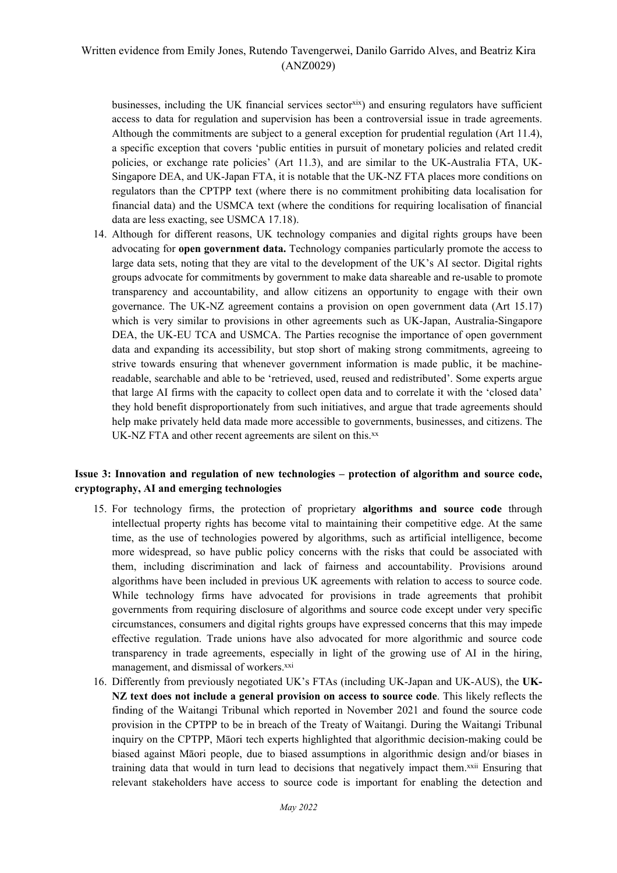businesses, including the UK financial services sector<sup>xix</sup>) and ensuring regulators have sufficient access to data for regulation and supervision has been a controversial issue in trade agreements. Although the commitments are subject to a general exception for prudential regulation (Art 11.4), a specific exception that covers 'public entities in pursuit of monetary policies and related credit policies, or exchange rate policies' (Art 11.3), and are similar to the UK-Australia FTA, UK-Singapore DEA, and UK-Japan FTA, it is notable that the UK-NZ FTA places more conditions on regulators than the CPTPP text (where there is no commitment prohibiting data localisation for financial data) and the USMCA text (where the conditions for requiring localisation of financial data are less exacting, see USMCA 17.18).

14. Although for different reasons, UK technology companies and digital rights groups have been advocating for **open government data.** Technology companies particularly promote the access to large data sets, noting that they are vital to the development of the UK's AI sector. Digital rights groups advocate for commitments by government to make data shareable and re-usable to promote transparency and accountability, and allow citizens an opportunity to engage with their own governance. The UK-NZ agreement contains a provision on open government data (Art 15.17) which is very similar to provisions in other agreements such as UK-Japan, Australia-Singapore DEA, the UK-EU TCA and USMCA. The Parties recognise the importance of open government data and expanding its accessibility, but stop short of making strong commitments, agreeing to strive towards ensuring that whenever government information is made public, it be machinereadable, searchable and able to be 'retrieved, used, reused and redistributed'. Some experts argue that large AI firms with the capacity to collect open data and to correlate it with the 'closed data' they hold benefit disproportionately from such initiatives, and argue that trade agreements should help make privately held data made more accessible to governments, businesses, and citizens. The UK-NZ FTA and other recent agreements are silent on this.xx

#### **Issue 3: Innovation and regulation of new technologies – protection of algorithm and source code, cryptography, AI and emerging technologies**

- 15. For technology firms, the protection of proprietary **algorithms and source code** through intellectual property rights has become vital to maintaining their competitive edge. At the same time, as the use of technologies powered by algorithms, such as artificial intelligence, become more widespread, so have public policy concerns with the risks that could be associated with them, including discrimination and lack of fairness and accountability. Provisions around algorithms have been included in previous UK agreements with relation to access to source code. While technology firms have advocated for provisions in trade agreements that prohibit governments from requiring disclosure of algorithms and source code except under very specific circumstances, consumers and digital rights groups have expressed concerns that this may impede effective regulation. Trade unions have also advocated for more algorithmic and source code transparency in trade agreements, especially in light of the growing use of AI in the hiring, management, and dismissal of workers.<sup>xxi</sup>
- 16. Differently from previously negotiated UK's FTAs (including UK-Japan and UK-AUS), the **UK-NZ text does not include a general provision on access to source code**. This likely reflects the finding of the Waitangi Tribunal which reported in November 2021 and found the source code provision in the CPTPP to be in breach of the Treaty of Waitangi. During the Waitangi Tribunal inquiry on the CPTPP, Māori tech experts highlighted that algorithmic decision-making could be biased against Māori people, due to biased assumptions in algorithmic design and/or biases in training data that would in turn lead to decisions that negatively impact them.xxii Ensuring that relevant stakeholders have access to source code is important for enabling the detection and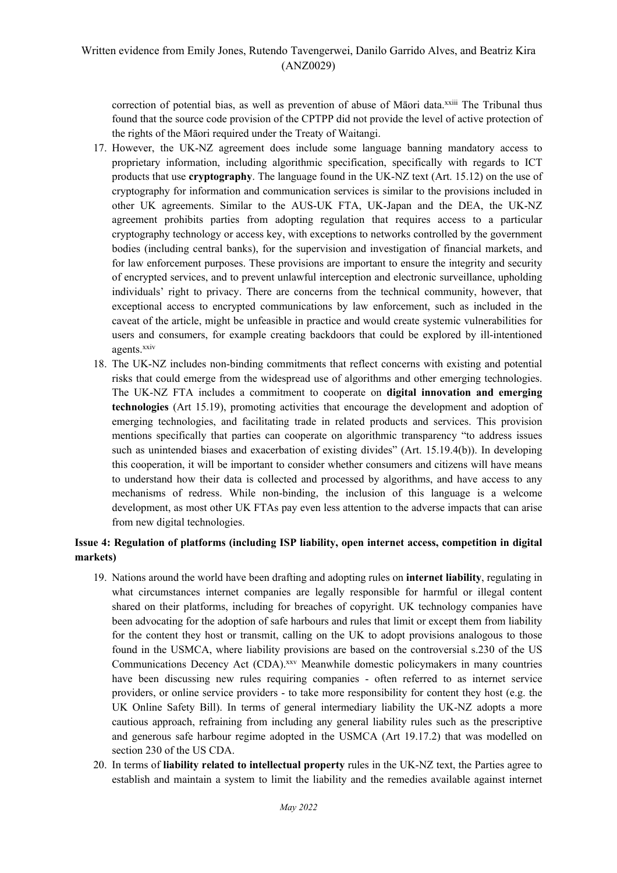correction of potential bias, as well as prevention of abuse of Māori data.xxiii The Tribunal thus found that the source code provision of the CPTPP did not provide the level of active protection of the rights of the Māori required under the Treaty of Waitangi.

- 17. However, the UK-NZ agreement does include some language banning mandatory access to proprietary information, including algorithmic specification, specifically with regards to ICT products that use **cryptography**. The language found in the UK-NZ text (Art. 15.12) on the use of cryptography for information and communication services is similar to the provisions included in other UK agreements. Similar to the AUS-UK FTA, UK-Japan and the DEA, the UK-NZ agreement prohibits parties from adopting regulation that requires access to a particular cryptography technology or access key, with exceptions to networks controlled by the government bodies (including central banks), for the supervision and investigation of financial markets, and for law enforcement purposes. These provisions are important to ensure the integrity and security of encrypted services, and to prevent unlawful interception and electronic surveillance, upholding individuals' right to privacy. There are concerns from the technical community, however, that exceptional access to encrypted communications by law enforcement, such as included in the caveat of the article, might be unfeasible in practice and would create systemic vulnerabilities for users and consumers, for example creating backdoors that could be explored by ill-intentioned agents.xxiv
- 18. The UK-NZ includes non-binding commitments that reflect concerns with existing and potential risks that could emerge from the widespread use of algorithms and other emerging technologies. The UK-NZ FTA includes a commitment to cooperate on **digital innovation and emerging technologies** (Art 15.19), promoting activities that encourage the development and adoption of emerging technologies, and facilitating trade in related products and services. This provision mentions specifically that parties can cooperate on algorithmic transparency "to address issues such as unintended biases and exacerbation of existing divides" (Art. 15.19.4(b)). In developing this cooperation, it will be important to consider whether consumers and citizens will have means to understand how their data is collected and processed by algorithms, and have access to any mechanisms of redress. While non-binding, the inclusion of this language is a welcome development, as most other UK FTAs pay even less attention to the adverse impacts that can arise from new digital technologies.

## **Issue 4: Regulation of platforms (including ISP liability, open internet access, competition in digital markets)**

- 19. Nations around the world have been drafting and adopting rules on **internet liability**, regulating in what circumstances internet companies are legally responsible for harmful or illegal content shared on their platforms, including for breaches of copyright. UK technology companies have been advocating for the adoption of safe harbours and rules that limit or except them from liability for the content they host or transmit, calling on the UK to adopt provisions analogous to those found in the USMCA, where liability provisions are based on the controversial s.230 of the US Communications Decency Act (CDA).<sup>xxv</sup> Meanwhile domestic policymakers in many countries have been discussing new rules requiring companies - often referred to as internet service providers, or online service providers - to take more responsibility for content they host (e.g. the UK Online Safety Bill). In terms of general intermediary liability the UK-NZ adopts a more cautious approach, refraining from including any general liability rules such as the prescriptive and generous safe harbour regime adopted in the USMCA (Art 19.17.2) that was modelled on section 230 of the US CDA.
- 20. In terms of **liability related to intellectual property** rules in the UK-NZ text, the Parties agree to establish and maintain a system to limit the liability and the remedies available against internet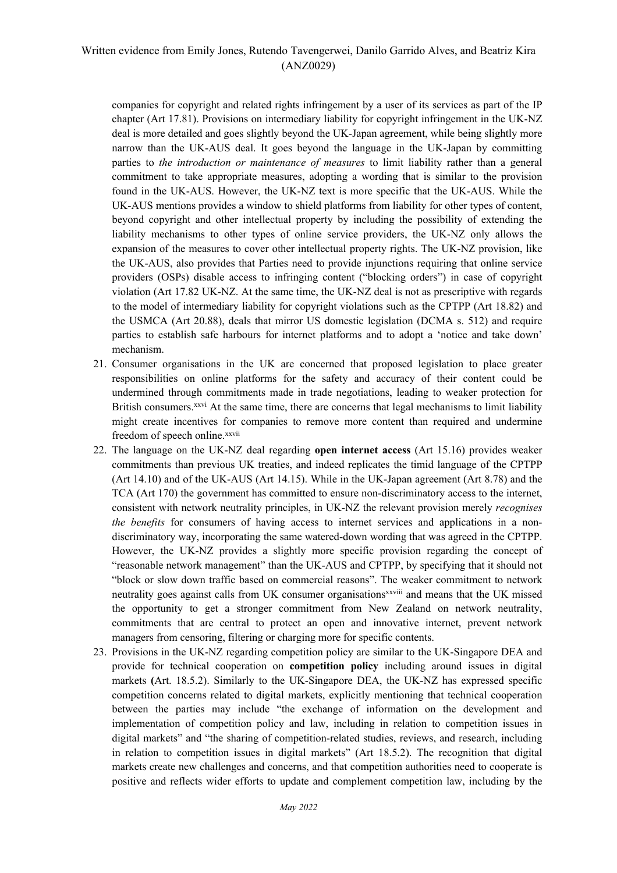companies for copyright and related rights infringement by a user of its services as part of the IP chapter (Art 17.81). Provisions on intermediary liability for copyright infringement in the UK-NZ deal is more detailed and goes slightly beyond the UK-Japan agreement, while being slightly more narrow than the UK-AUS deal. It goes beyond the language in the UK-Japan by committing parties to *the introduction or maintenance of measures* to limit liability rather than a general commitment to take appropriate measures, adopting a wording that is similar to the provision found in the UK-AUS. However, the UK-NZ text is more specific that the UK-AUS. While the UK-AUS mentions provides a window to shield platforms from liability for other types of content, beyond copyright and other intellectual property by including the possibility of extending the liability mechanisms to other types of online service providers, the UK-NZ only allows the expansion of the measures to cover other intellectual property rights. The UK-NZ provision, like the UK-AUS, also provides that Parties need to provide injunctions requiring that online service providers (OSPs) disable access to infringing content ("blocking orders") in case of copyright violation (Art 17.82 UK-NZ. At the same time, the UK-NZ deal is not as prescriptive with regards to the model of intermediary liability for copyright violations such as the CPTPP (Art 18.82) and the USMCA (Art 20.88), deals that mirror US domestic legislation (DCMA s. 512) and require parties to establish safe harbours for internet platforms and to adopt a 'notice and take down' mechanism.

- 21. Consumer organisations in the UK are concerned that proposed legislation to place greater responsibilities on online platforms for the safety and accuracy of their content could be undermined through commitments made in trade negotiations, leading to weaker protection for British consumers.<sup>xxvi</sup> At the same time, there are concerns that legal mechanisms to limit liability might create incentives for companies to remove more content than required and undermine freedom of speech online.xxvii
- 22. The language on the UK-NZ deal regarding **open internet access** (Art 15.16) provides weaker commitments than previous UK treaties, and indeed replicates the timid language of the CPTPP (Art 14.10) and of the UK-AUS (Art 14.15). While in the UK-Japan agreement (Art 8.78) and the TCA (Art 170) the government has committed to ensure non-discriminatory access to the internet, consistent with network neutrality principles, in UK-NZ the relevant provision merely *recognises the benefits* for consumers of having access to internet services and applications in a nondiscriminatory way, incorporating the same watered-down wording that was agreed in the CPTPP. However, the UK-NZ provides a slightly more specific provision regarding the concept of "reasonable network management" than the UK-AUS and CPTPP, by specifying that it should not "block or slow down traffic based on commercial reasons". The weaker commitment to network neutrality goes against calls from UK consumer organisations<sup>xxviii</sup> and means that the UK missed the opportunity to get a stronger commitment from New Zealand on network neutrality, commitments that are central to protect an open and innovative internet, prevent network managers from censoring, filtering or charging more for specific contents.
- 23. Provisions in the UK-NZ regarding competition policy are similar to the UK-Singapore DEA and provide for technical cooperation on **competition policy** including around issues in digital markets **(**Art. 18.5.2). Similarly to the UK-Singapore DEA, the UK-NZ has expressed specific competition concerns related to digital markets, explicitly mentioning that technical cooperation between the parties may include "the exchange of information on the development and implementation of competition policy and law, including in relation to competition issues in digital markets" and "the sharing of competition-related studies, reviews, and research, including in relation to competition issues in digital markets" (Art 18.5.2). The recognition that digital markets create new challenges and concerns, and that competition authorities need to cooperate is positive and reflects wider efforts to update and complement competition law, including by the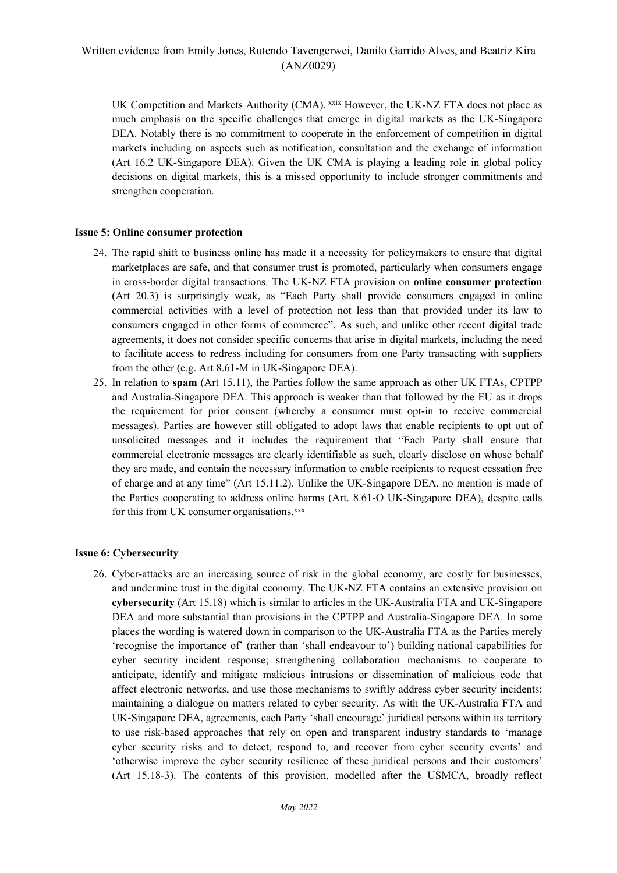UK Competition and Markets Authority (CMA). xxix However, the UK-NZ FTA does not place as much emphasis on the specific challenges that emerge in digital markets as the UK-Singapore DEA. Notably there is no commitment to cooperate in the enforcement of competition in digital markets including on aspects such as notification, consultation and the exchange of information (Art 16.2 UK-Singapore DEA). Given the UK CMA is playing a leading role in global policy decisions on digital markets, this is a missed opportunity to include stronger commitments and strengthen cooperation.

#### **Issue 5: Online consumer protection**

- 24. The rapid shift to business online has made it a necessity for policymakers to ensure that digital marketplaces are safe, and that consumer trust is promoted, particularly when consumers engage in cross-border digital transactions. The UK-NZ FTA provision on **online consumer protection** (Art 20.3) is surprisingly weak, as "Each Party shall provide consumers engaged in online commercial activities with a level of protection not less than that provided under its law to consumers engaged in other forms of commerce". As such, and unlike other recent digital trade agreements, it does not consider specific concerns that arise in digital markets, including the need to facilitate access to redress including for consumers from one Party transacting with suppliers from the other (e.g. Art 8.61-M in UK-Singapore DEA).
- 25. In relation to **spam** (Art 15.11), the Parties follow the same approach as other UK FTAs, CPTPP and Australia-Singapore DEA. This approach is weaker than that followed by the EU as it drops the requirement for prior consent (whereby a consumer must opt-in to receive commercial messages). Parties are however still obligated to adopt laws that enable recipients to opt out of unsolicited messages and it includes the requirement that "Each Party shall ensure that commercial electronic messages are clearly identifiable as such, clearly disclose on whose behalf they are made, and contain the necessary information to enable recipients to request cessation free of charge and at any time" (Art 15.11.2). Unlike the UK-Singapore DEA, no mention is made of the Parties cooperating to address online harms (Art. 8.61-O UK-Singapore DEA), despite calls for this from UK consumer organisations.<sup>xxx</sup>

#### **Issue 6: Cybersecurity**

26. Cyber-attacks are an increasing source of risk in the global economy, are costly for businesses, and undermine trust in the digital economy. The UK-NZ FTA contains an extensive provision on **cybersecurity** (Art 15.18) which is similar to articles in the UK-Australia FTA and UK-Singapore DEA and more substantial than provisions in the CPTPP and Australia-Singapore DEA. In some places the wording is watered down in comparison to the UK-Australia FTA as the Parties merely 'recognise the importance of' (rather than 'shall endeavour to') building national capabilities for cyber security incident response; strengthening collaboration mechanisms to cooperate to anticipate, identify and mitigate malicious intrusions or dissemination of malicious code that affect electronic networks, and use those mechanisms to swiftly address cyber security incidents; maintaining a dialogue on matters related to cyber security. As with the UK-Australia FTA and UK-Singapore DEA, agreements, each Party 'shall encourage' juridical persons within its territory to use risk-based approaches that rely on open and transparent industry standards to 'manage cyber security risks and to detect, respond to, and recover from cyber security events' and 'otherwise improve the cyber security resilience of these juridical persons and their customers' (Art 15.18-3). The contents of this provision, modelled after the USMCA, broadly reflect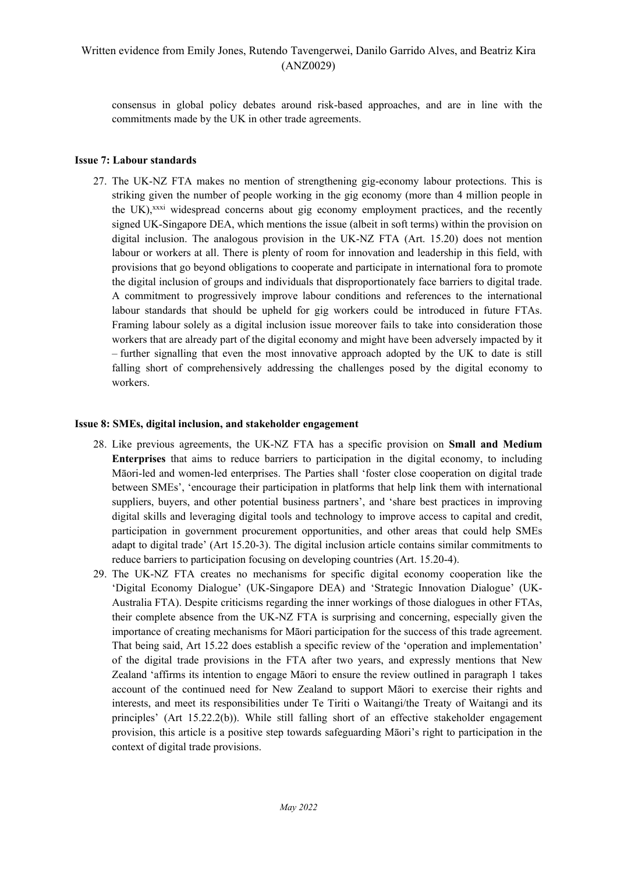consensus in global policy debates around risk-based approaches, and are in line with the commitments made by the UK in other trade agreements.

### **Issue 7: Labour standards**

27. The UK-NZ FTA makes no mention of strengthening gig-economy labour protections. This is striking given the number of people working in the gig economy (more than 4 million people in the UK),<sup>xxxi</sup> widespread concerns about gig economy employment practices, and the recently signed UK-Singapore DEA, which mentions the issue (albeit in soft terms) within the provision on digital inclusion. The analogous provision in the UK-NZ FTA (Art. 15.20) does not mention labour or workers at all. There is plenty of room for innovation and leadership in this field, with provisions that go beyond obligations to cooperate and participate in international fora to promote the digital inclusion of groups and individuals that disproportionately face barriers to digital trade. A commitment to progressively improve labour conditions and references to the international labour standards that should be upheld for gig workers could be introduced in future FTAs. Framing labour solely as a digital inclusion issue moreover fails to take into consideration those workers that are already part of the digital economy and might have been adversely impacted by it – further signalling that even the most innovative approach adopted by the UK to date is still falling short of comprehensively addressing the challenges posed by the digital economy to workers.

#### **Issue 8: SMEs, digital inclusion, and stakeholder engagement**

- 28. Like previous agreements, the UK-NZ FTA has a specific provision on **Small and Medium Enterprises** that aims to reduce barriers to participation in the digital economy, to including Māori-led and women-led enterprises. The Parties shall 'foster close cooperation on digital trade between SMEs', 'encourage their participation in platforms that help link them with international suppliers, buyers, and other potential business partners', and 'share best practices in improving digital skills and leveraging digital tools and technology to improve access to capital and credit, participation in government procurement opportunities, and other areas that could help SMEs adapt to digital trade' (Art 15.20-3). The digital inclusion article contains similar commitments to reduce barriers to participation focusing on developing countries (Art. 15.20-4).
- 29. The UK-NZ FTA creates no mechanisms for specific digital economy cooperation like the 'Digital Economy Dialogue' (UK-Singapore DEA) and 'Strategic Innovation Dialogue' (UK-Australia FTA). Despite criticisms regarding the inner workings of those dialogues in other FTAs, their complete absence from the UK-NZ FTA is surprising and concerning, especially given the importance of creating mechanisms for Māori participation for the success of this trade agreement. That being said, Art 15.22 does establish a specific review of the 'operation and implementation' of the digital trade provisions in the FTA after two years, and expressly mentions that New Zealand 'affirms its intention to engage Māori to ensure the review outlined in paragraph 1 takes account of the continued need for New Zealand to support Māori to exercise their rights and interests, and meet its responsibilities under Te Tiriti o Waitangi/the Treaty of Waitangi and its principles' (Art 15.22.2(b)). While still falling short of an effective stakeholder engagement provision, this article is a positive step towards safeguarding Māori's right to participation in the context of digital trade provisions.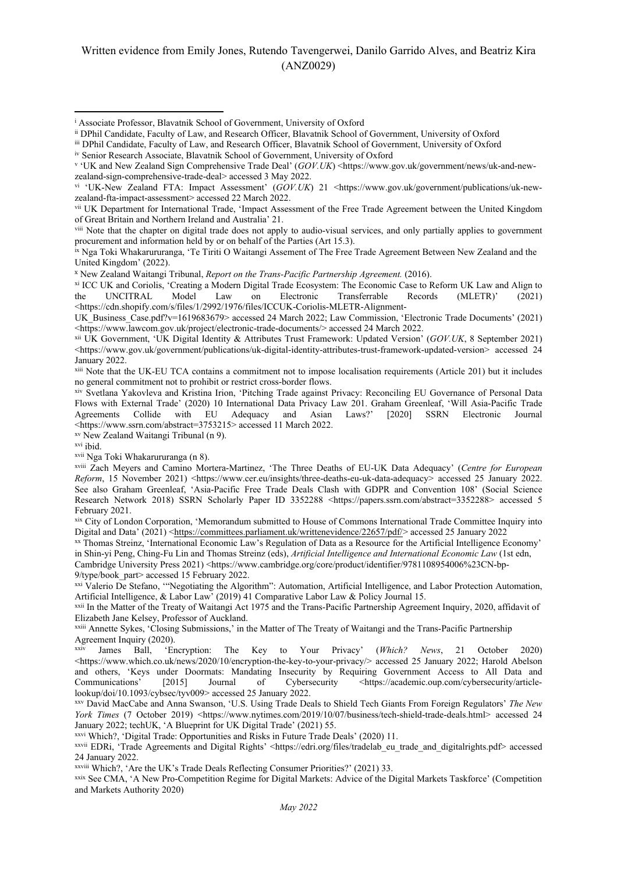iii DPhil Candidate, Faculty of Law, and Research Officer, Blavatnik School of Government, University of Oxford

xv New Zealand Waitangi Tribunal (n 9).

xvii Nga Toki Whakarururanga (n 8).

xix City of London Corporation, 'Memorandum submitted to House of Commons International Trade Committee Inquiry into Digital and Data' (2021) [<https://committees.parliament.uk/writtenevidence/22657/pdf/](https://committees.parliament.uk/writtenevidence/22657/pdf/)> accessed 25 January 2022

xx Thomas Streinz, 'International Economic Law's Regulation of Data as a Resource for the Artificial Intelligence Economy' in Shin-yi Peng, Ching-Fu Lin and Thomas Streinz (eds), *Artificial Intelligence and International Economic Law* (1st edn, Cambridge University Press 2021) <https://www.cambridge.org/core/product/identifier/9781108954006%23CN-bp-9/type/book\_part> accessed 15 February 2022.

xxi Valerio De Stefano, '"Negotiating the Algorithm": Automation, Artificial Intelligence, and Labor Protection Automation, Artificial Intelligence, & Labor Law' (2019) 41 Comparative Labor Law & Policy Journal 15.

xxii In the Matter of the Treaty of Waitangi Act 1975 and the Trans-Pacific Partnership Agreement Inquiry, 2020, affidavit of Elizabeth Jane Kelsey, Professor of Auckland.

xxiii Annette Sykes, 'Closing Submissions,' in the Matter of The Treaty of Waitangi and the Trans-Pacific Partnership Agreement Inquiry (2020).

James Ball, 'Encryption: The Key to Your Privacy' (*Which? News*, 21 October 2020)  $\langle$ https://www.which.co.uk/news/2020/10/encryption-the-key-to-your-privacy/> accessed 25 January 2022; Harold Abelson and others, 'Keys under Doormats: Mandating Insecurity by Requiring Government Access to All Data and Communications' [2015] Journal of Cybersecurity <https://academic.oup.com/cybersecurity/article-Communications' [2015] Journal of Cybersecurity <https://academic.oup.com/cybersecurity/articlelookup/doi/10.1093/cybsec/tyv009> accessed 25 January 2022.

xxv David MacCabe and Anna Swanson, 'U.S. Using Trade Deals to Shield Tech Giants From Foreign Regulators' *The New York Times* (7 October 2019) <https://www.nytimes.com/2019/10/07/business/tech-shield-trade-deals.html> accessed 24 January 2022; techUK, 'A Blueprint for UK Digital Trade' (2021) 55.

xxvi Which?, 'Digital Trade: Opportunities and Risks in Future Trade Deals' (2020) 11.

xxvii EDRi, 'Trade Agreements and Digital Rights' <https://edri.org/files/tradelab\_eu\_trade\_and\_digitalrights.pdf> accessed 24 January 2022.

xxviii Which?, 'Are the UK's Trade Deals Reflecting Consumer Priorities?' (2021) 33.

xxix See CMA, 'A New Pro-Competition Regime for Digital Markets: Advice of the Digital Markets Taskforce' (Competition and Markets Authority 2020)

<sup>i</sup> Associate Professor, Blavatnik School of Government, University of Oxford

ii DPhil Candidate, Faculty of Law, and Research Officer, Blavatnik School of Government, University of Oxford

iv Senior Research Associate, Blavatnik School of Government, University of Oxford

v 'UK and New Zealand Sign Comprehensive Trade Deal' (*GOV.UK*) <https://www.gov.uk/government/news/uk-and-newzealand-sign-comprehensive-trade-deal> accessed 3 May 2022.

vi 'UK-New Zealand FTA: Impact Assessment' (*GOV.UK*) 21 <https://www.gov.uk/government/publications/uk-newzealand-fta-impact-assessment> accessed 22 March 2022.

vii UK Department for International Trade, 'Impact Assessment of the Free Trade Agreement between the United Kingdom of Great Britain and Northern Ireland and Australia' 21.

viii Note that the chapter on digital trade does not apply to audio-visual services, and only partially applies to government procurement and information held by or on behalf of the Parties (Art 15.3).

ix Nga Toki Whakarururanga, 'Te Tiriti O Waitangi Assement of The Free Trade Agreement Between New Zealand and the United Kingdom' (2022).

<sup>x</sup> New Zealand Waitangi Tribunal, *Report on the Trans-Pacific Partnership Agreement.* (2016).

xi ICC UK and Coriolis, 'Creating a Modern Digital Trade Ecosystem: The Economic Case to Reform UK Law and Align to the UNCITRAL Model Law on Electronic Transferrable Records (MLETR)' (2021) <https://cdn.shopify.com/s/files/1/2992/1976/files/ICCUK-Coriolis-MLETR-Alignment-

UK\_Business\_Case.pdf?v=1619683679> accessed 24 March 2022; Law Commission, 'Electronic Trade Documents' (2021) <https://www.lawcom.gov.uk/project/electronic-trade-documents/> accessed 24 March 2022.

xii UK Government, 'UK Digital Identity & Attributes Trust Framework: Updated Version' (*GOV.UK*, 8 September 2021) <https://www.gov.uk/government/publications/uk-digital-identity-attributes-trust-framework-updated-version> accessed 24 January 2022.

xiii Note that the UK-EU TCA contains a commitment not to impose localisation requirements (Article 201) but it includes no general commitment not to prohibit or restrict cross-border flows.

xiv Svetlana Yakovleva and Kristina Irion, 'Pitching Trade against Privacy: Reconciling EU Governance of Personal Data Flows with External Trade' (2020) 10 International Data Privacy Law 201. Graham Greenleaf, 'Will Asia-Pacific Trade Agreements Collide with EU Adequacy and Asian Laws?' [2020] SSRN Electronic Journal <https://www.ssrn.com/abstract=3753215> accessed 11 March 2022.

xvi ibid.

xviii Zach Meyers and Camino Mortera-Martinez, 'The Three Deaths of EU-UK Data Adequacy' (*Centre for European Reform*, 15 November 2021) <https://www.cer.eu/insights/three-deaths-eu-uk-data-adequacy> accessed 25 January 2022. See also Graham Greenleaf, 'Asia-Pacific Free Trade Deals Clash with GDPR and Convention 108' (Social Science Research Network 2018) SSRN Scholarly Paper ID 3352288 <https://papers.ssrn.com/abstract=3352288> accessed 5 February 2021.